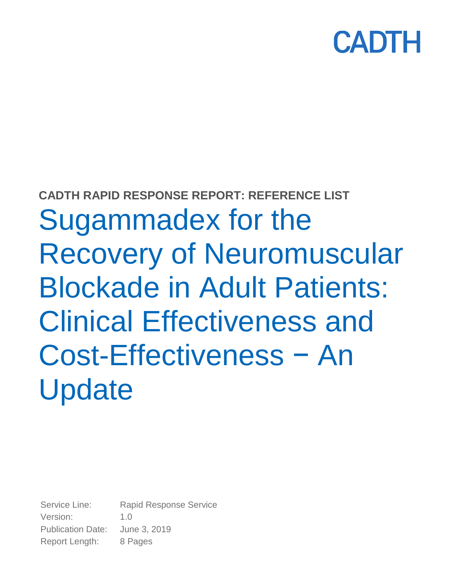

# **CADTH RAPID RESPONSE REPORT: REFERENCE LIST** Sugammadex for the Recovery of Neuromuscular Blockade in Adult Patients: Clinical Effectiveness and Cost-Effectiveness − An **Update**

Service Line: Rapid Response Service Version: 1.0 Publication Date: June 3, 2019 Report Length: 8 Pages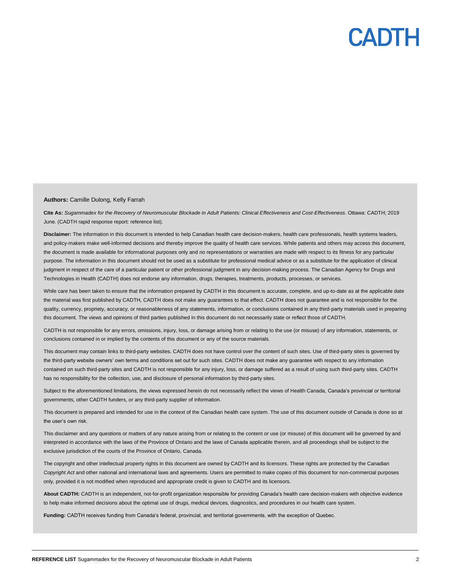#### **Authors:** Camille Dulong, Kelly Farrah

**Cite As:** *Sugammadex for the Recovery of Neuromuscular Blockade in Adult Patients: Clinical Effectiveness and Cost-Effectiveness*. Ottawa: CADTH; 2019 June. (CADTH rapid response report: reference list).

Disclaimer: The information in this document is intended to help Canadian health care decision-makers, health care professionals, health systems leaders, and policy-makers make well-informed decisions and thereby improve the quality of health care services. While patients and others may access this document, the document is made available for informational purposes only and no representations or warranties are made with respect to its fitness for any particular purpose. The information in this document should not be used as a substitute for professional medical advice or as a substitute for the application of clinical judgment in respect of the care of a particular patient or other professional judgment in any decision-making process. The Canadian Agency for Drugs and Technologies in Health (CADTH) does not endorse any information, drugs, therapies, treatments, products, processes, or services.

While care has been taken to ensure that the information prepared by CADTH in this document is accurate, complete, and up-to-date as at the applicable date the material was first published by CADTH, CADTH does not make any guarantees to that effect. CADTH does not guarantee and is not responsible for the quality, currency, propriety, accuracy, or reasonableness of any statements, information, or conclusions contained in any third-party materials used in preparing this document. The views and opinions of third parties published in this document do not necessarily state or reflect those of CADTH.

CADTH is not responsible for any errors, omissions, injury, loss, or damage arising from or relating to the use (or misuse) of any information, statements, or conclusions contained in or implied by the contents of this document or any of the source materials.

This document may contain links to third-party websites. CADTH does not have control over the content of such sites. Use of third-party sites is governed by the third-party website owners' own terms and conditions set out for such sites. CADTH does not make any guarantee with respect to any information contained on such third-party sites and CADTH is not responsible for any injury, loss, or damage suffered as a result of using such third-party sites. CADTH has no responsibility for the collection, use, and disclosure of personal information by third-party sites.

Subject to the aforementioned limitations, the views expressed herein do not necessarily reflect the views of Health Canada, Canada's provincial or territorial governments, other CADTH funders, or any third-party supplier of information.

This document is prepared and intended for use in the context of the Canadian health care system. The use of this document outside of Canada is done so at the user's own risk.

This disclaimer and any questions or matters of any nature arising from or relating to the content or use (or misuse) of this document will be governed by and interpreted in accordance with the laws of the Province of Ontario and the laws of Canada applicable therein, and all proceedings shall be subject to the exclusive jurisdiction of the courts of the Province of Ontario, Canada.

The copyright and other intellectual property rights in this document are owned by CADTH and its licensors. These rights are protected by the Canadian *Copyright Act* and other national and international laws and agreements. Users are permitted to make copies of this document for non-commercial purposes only, provided it is not modified when reproduced and appropriate credit is given to CADTH and its licensors.

**About CADTH:** CADTH is an independent, not-for-profit organization responsible for providing Canada's health care decision-makers with objective evidence to help make informed decisions about the optimal use of drugs, medical devices, diagnostics, and procedures in our health care system.

**Funding:** CADTH receives funding from Canada's federal, provincial, and territorial governments, with the exception of Quebec.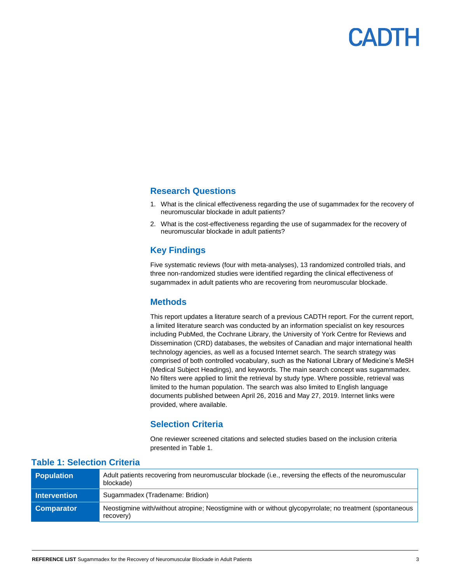

### **Research Questions**

- 1. What is the clinical effectiveness regarding the use of sugammadex for the recovery of neuromuscular blockade in adult patients?
- 2. What is the cost-effectiveness regarding the use of sugammadex for the recovery of neuromuscular blockade in adult patients?

### **Key Findings**

Five systematic reviews (four with meta-analyses), 13 randomized controlled trials, and three non-randomized studies were identified regarding the clinical effectiveness of sugammadex in adult patients who are recovering from neuromuscular blockade.

### **Methods**

This report updates a literature search of a previous CADTH report. For the current report, a limited literature search was conducted by an information specialist on key resources including PubMed, the Cochrane Library, the University of York Centre for Reviews and Dissemination (CRD) databases, the websites of Canadian and major international health technology agencies, as well as a focused Internet search. The search strategy was comprised of both controlled vocabulary, such as the National Library of Medicine's MeSH (Medical Subject Headings), and keywords. The main search concept was sugammadex. No filters were applied to limit the retrieval by study type. Where possible, retrieval was limited to the human population. The search was also limited to English language documents published between April 26, 2016 and May 27, 2019. Internet links were provided, where available.

### **Selection Criteria**

One reviewer screened citations and selected studies based on the inclusion criteria presented in Table 1.

| <b>Population</b>   | Adult patients recovering from neuromuscular blockade (i.e., reversing the effects of the neuromuscular<br>blockade)  |
|---------------------|-----------------------------------------------------------------------------------------------------------------------|
| <b>Intervention</b> | Sugammadex (Tradename: Bridion)                                                                                       |
| <b>Comparator</b>   | Neostigmine with/without atropine: Neostigmine with or without glycopyrrolate: no treatment (spontaneous<br>recovery) |

### **Table 1: Selection Criteria**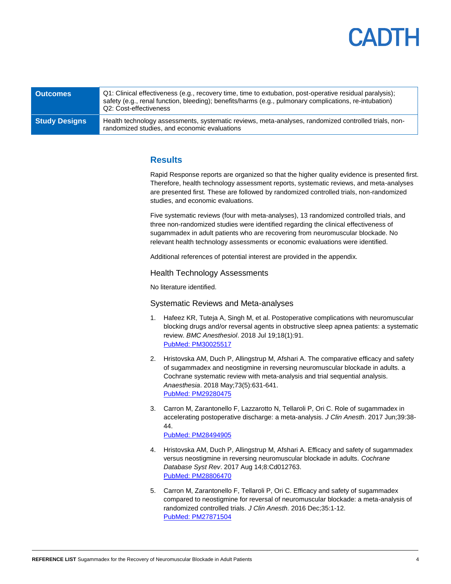### **ANTE**

| <b>Outcomes</b>      | Q1: Clinical effectiveness (e.g., recovery time, time to extubation, post-operative residual paralysis);<br>safety (e.g., renal function, bleeding); benefits/harms (e.g., pulmonary complications, re-intubation)<br>Q2: Cost-effectiveness |
|----------------------|----------------------------------------------------------------------------------------------------------------------------------------------------------------------------------------------------------------------------------------------|
| <b>Study Designs</b> | Health technology assessments, systematic reviews, meta-analyses, randomized controlled trials, non-<br>randomized studies, and economic evaluations                                                                                         |

### **Results**

Rapid Response reports are organized so that the higher quality evidence is presented first. Therefore, health technology assessment reports, systematic reviews, and meta-analyses are presented first. These are followed by randomized controlled trials, non-randomized studies, and economic evaluations.

Five systematic reviews (four with meta-analyses), 13 randomized controlled trials, and three non-randomized studies were identified regarding the clinical effectiveness of sugammadex in adult patients who are recovering from neuromuscular blockade. No relevant health technology assessments or economic evaluations were identified.

Additional references of potential interest are provided in the appendix.

### Health Technology Assessments

No literature identified.

#### Systematic Reviews and Meta-analyses

- 1. Hafeez KR, Tuteja A, Singh M, et al. Postoperative complications with neuromuscular blocking drugs and/or reversal agents in obstructive sleep apnea patients: a systematic review. *BMC Anesthesiol*. 2018 Jul 19;18(1):91. [PubMed: PM30025517](http://www.ncbi.nlm.nih.gov/pubmed/30025517)
- 2. Hristovska AM, Duch P, Allingstrup M, Afshari A. The comparative efficacy and safety of sugammadex and neostigmine in reversing neuromuscular blockade in adults. a Cochrane systematic review with meta-analysis and trial sequential analysis. *Anaesthesia*. 2018 May;73(5):631-641. PubMed: [PM29280475](http://www.ncbi.nlm.nih.gov/pubmed/29280475)
- 3. Carron M, Zarantonello F, Lazzarotto N, Tellaroli P, Ori C. Role of sugammadex in accelerating postoperative discharge: a meta-analysis. *J Clin Anesth*. 2017 Jun;39:38- 44.

### [PubMed: PM28494905](http://www.ncbi.nlm.nih.gov/pubmed/28494905)

- 4. Hristovska AM, Duch P, Allingstrup M, Afshari A. Efficacy and safety of sugammadex versus neostigmine in reversing neuromuscular blockade in adults. *Cochrane Database Syst Rev*. 2017 Aug 14;8:Cd012763. [PubMed: PM28806470](http://www.ncbi.nlm.nih.gov/pubmed/28806470)
- 5. Carron M, Zarantonello F, Tellaroli P, Ori C. Efficacy and safety of sugammadex compared to neostigmine for reversal of neuromuscular blockade: a meta-analysis of randomized controlled trials. *J Clin Anesth*. 2016 Dec;35:1-12. [PubMed: PM27871504](http://www.ncbi.nlm.nih.gov/pubmed/27871504)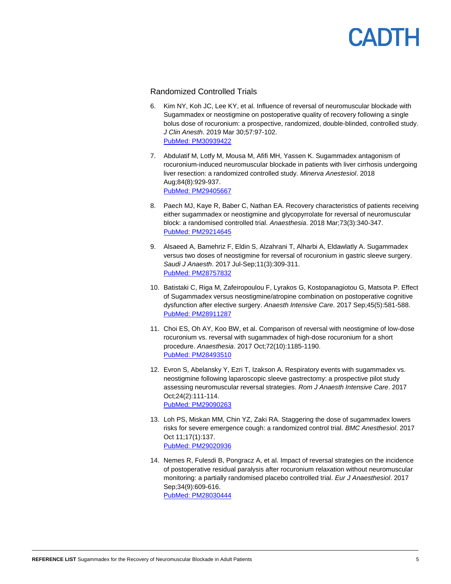### Randomized Controlled Trials

- 6. Kim NY, Koh JC, Lee KY, et al. Influence of reversal of neuromuscular blockade with Sugammadex or neostigmine on postoperative quality of recovery following a single bolus dose of rocuronium: a prospective, randomized, double-blinded, controlled study. *J Clin Anesth*. 2019 Mar 30;57:97-102. [PubMed: PM30939422](http://www.ncbi.nlm.nih.gov/pubmed/30939422)
- 7. Abdulatif M, Lotfy M, Mousa M, Afifi MH, Yassen K. Sugammadex antagonism of rocuronium-induced neuromuscular blockade in patients with liver cirrhosis undergoing liver resection: a randomized controlled study. *Minerva Anestesiol*. 2018 Aug;84(8):929-937. [PubMed: PM29405667](http://www.ncbi.nlm.nih.gov/pubmed/29405667)
- 8. Paech MJ, Kaye R, Baber C, Nathan EA. Recovery characteristics of patients receiving either sugammadex or neostigmine and glycopyrrolate for reversal of neuromuscular block: a randomised controlled trial. *Anaesthesia*. 2018 Mar;73(3):340-347. [PubMed: PM29214645](http://www.ncbi.nlm.nih.gov/pubmed/29214645)
- 9. Alsaeed A, Bamehriz F, Eldin S, Alzahrani T, Alharbi A, Eldawlatly A. Sugammadex versus two doses of neostigmine for reversal of rocuronium in gastric sleeve surgery. *Saudi J Anaesth*. 2017 Jul-Sep;11(3):309-311. [PubMed: PM28757832](http://www.ncbi.nlm.nih.gov/pubmed/28757832)
- 10. Batistaki C, Riga M, Zafeiropoulou F, Lyrakos G, Kostopanagiotou G, Matsota P. Effect of Sugammadex versus neostigmine/atropine combination on postoperative cognitive dysfunction after elective surgery. *Anaesth Intensive Care*. 2017 Sep;45(5):581-588. [PubMed: PM28911287](http://www.ncbi.nlm.nih.gov/pubmed/28911287)
- 11. Choi ES, Oh AY, Koo BW, et al. Comparison of reversal with neostigmine of low-dose rocuronium vs. reversal with sugammadex of high-dose rocuronium for a short procedure. *Anaesthesia*. 2017 Oct;72(10):1185-1190. [PubMed: PM28493510](http://www.ncbi.nlm.nih.gov/pubmed/28493510)
- 12. Evron S, Abelansky Y, Ezri T, Izakson A. Respiratory events with sugammadex vs. neostigmine following laparoscopic sleeve gastrectomy: a prospective pilot study assessing neuromuscular reversal strategies. *Rom J Anaesth Intensive Care*. 2017 Oct;24(2):111-114. [PubMed: PM29090263](http://www.ncbi.nlm.nih.gov/pubmed/29090263)
- 13. Loh PS, Miskan MM, Chin YZ, Zaki RA. Staggering the dose of sugammadex lowers risks for severe emergence cough: a randomized control trial. *BMC Anesthesiol*. 2017 Oct 11;17(1):137. [PubMed: PM29020936](http://www.ncbi.nlm.nih.gov/pubmed/29020936)
- 14. Nemes R, Fulesdi B, Pongracz A, et al. Impact of reversal strategies on the incidence of postoperative residual paralysis after rocuronium relaxation without neuromuscular monitoring: a partially randomised placebo controlled trial. *Eur J Anaesthesiol*. 2017 Sep;34(9):609-616. [PubMed: PM28030444](http://www.ncbi.nlm.nih.gov/pubmed/28030444)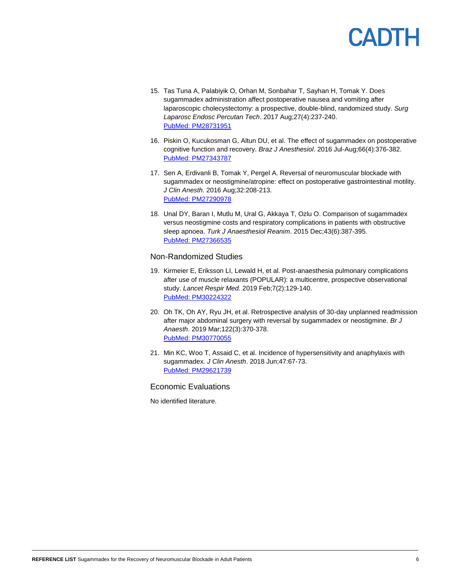- 15. Tas Tuna A, Palabiyik O, Orhan M, Sonbahar T, Sayhan H, Tomak Y. Does sugammadex administration affect postoperative nausea and vomiting after laparoscopic cholecystectomy: a prospective, double-blind, randomized study. *Surg Laparosc Endosc Percutan Tech*. 2017 Aug;27(4):237-240. [PubMed: PM28731951](http://www.ncbi.nlm.nih.gov/pubmed/28731951)
- 16. Piskin O, Kucukosman G, Altun DU, et al. The effect of sugammadex on postoperative cognitive function and recovery. *Braz J Anesthesiol*. 2016 Jul-Aug;66(4):376-382. [PubMed: PM27343787](http://www.ncbi.nlm.nih.gov/pubmed/27343787)
- 17. Sen A, Erdivanli B, Tomak Y, Pergel A. Reversal of neuromuscular blockade with sugammadex or neostigmine/atropine: effect on postoperative gastrointestinal motility. *J Clin Anesth*. 2016 Aug;32:208-213. [PubMed: PM27290978](http://www.ncbi.nlm.nih.gov/pubmed/27290978)
- 18. Unal DY, Baran I, Mutlu M, Ural G, Akkaya T, Ozlu O. Comparison of sugammadex versus neostigmine costs and respiratory complications in patients with obstructive sleep apnoea. *Turk J Anaesthesiol Reanim*. 2015 Dec;43(6):387-395. [PubMed: PM27366535](http://www.ncbi.nlm.nih.gov/pubmed/27366535)

### Non-Randomized Studies

- 19. Kirmeier E, Eriksson LI, Lewald H, et al. Post-anaesthesia pulmonary complications after use of muscle relaxants (POPULAR): a multicentre, prospective observational study. *Lancet Respir Med.* 2019 Feb;7(2):129-140. [PubMed: PM30224322](http://www.ncbi.nlm.nih.gov/pubmed/30224322)
- 20. Oh TK, Oh AY, Ryu JH, et al. Retrospective analysis of 30-day unplanned readmission after major abdominal surgery with reversal by sugammadex or neostigmine. *Br J Anaesth*. 2019 Mar;122(3):370-378. [PubMed: PM30770055](http://www.ncbi.nlm.nih.gov/pubmed/30770055)
- 21. Min KC, Woo T, Assaid C, et al. Incidence of hypersensitivity and anaphylaxis with sugammadex. *J Clin Anesth*. 2018 Jun;47:67-73. [PubMed: PM29621739](http://www.ncbi.nlm.nih.gov/pubmed/29621739)

### Economic Evaluations

No identified literature.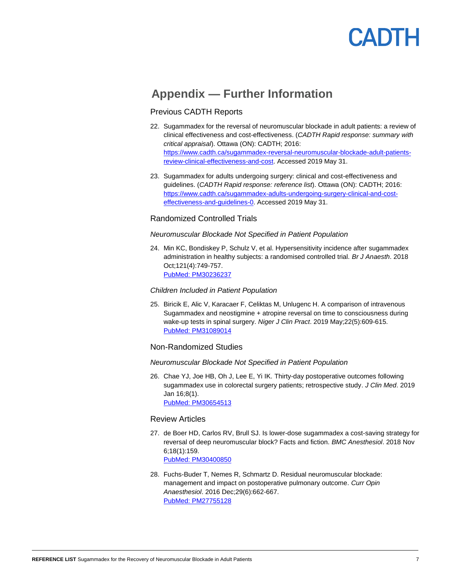### **Appendix — Further Information**

### Previous CADTH Reports

- 22. Sugammadex for the reversal of neuromuscular blockade in adult patients: a review of clinical effectiveness and cost-effectiveness. (*CADTH Rapid response: summary with critical appraisal*). Ottawa (ON): CADTH; 2016: [https://www.cadth.ca/sugammadex-reversal-neuromuscular-blockade-adult-patients](https://www.cadth.ca/sugammadex-reversal-neuromuscular-blockade-adult-patients-review-clinical-effectiveness-and-cost)[review-clinical-effectiveness-and-cost.](https://www.cadth.ca/sugammadex-reversal-neuromuscular-blockade-adult-patients-review-clinical-effectiveness-and-cost) Accessed 2019 May 31.
- 23. Sugammadex for adults undergoing surgery: clinical and cost-effectiveness and guidelines. (*CADTH Rapid response: reference list*). Ottawa (ON): CADTH; 2016: [https://www.cadth.ca/sugammadex-adults-undergoing-surgery-clinical-and-cost](https://www.cadth.ca/sugammadex-adults-undergoing-surgery-clinical-and-cost-effectiveness-and-guidelines-0)[effectiveness-and-guidelines-0.](https://www.cadth.ca/sugammadex-adults-undergoing-surgery-clinical-and-cost-effectiveness-and-guidelines-0) Accessed 2019 May 31.

### Randomized Controlled Trials

### *Neuromuscular Blockade Not Specified in Patient Population*

24. Min KC, Bondiskey P, Schulz V, et al. Hypersensitivity incidence after sugammadex administration in healthy subjects: a randomised controlled trial. *Br J Anaesth*. 2018 Oct;121(4):749-757. [PubMed: PM30236237](http://www.ncbi.nlm.nih.gov/pubmed/30236237)

### *Children Included in Patient Population*

25. Biricik E, Alic V, Karacaer F, Celiktas M, Unlugenc H. A comparison of intravenous Sugammadex and neostigmine + atropine reversal on time to consciousness during wake-up tests in spinal surgery. *Niger J Clin Pract*. 2019 May;22(5):609-615. [PubMed: PM31089014](http://www.ncbi.nlm.nih.gov/pubmed/31089014)

### Non-Randomized Studies

### *Neuromuscular Blockade Not Specified in Patient Population*

26. Chae YJ, Joe HB, Oh J, Lee E, Yi IK. Thirty-day postoperative outcomes following sugammadex use in colorectal surgery patients; retrospective study. *J Clin Med*. 2019 Jan 16;8(1). [PubMed: PM30654513](http://www.ncbi.nlm.nih.gov/pubmed/30654513)

### Review Articles

- 27. de Boer HD, Carlos RV, Brull SJ. Is lower-dose sugammadex a cost-saving strategy for reversal of deep neuromuscular block? Facts and fiction. *BMC Anesthesiol*. 2018 Nov 6;18(1):159. [PubMed: PM30400850](http://www.ncbi.nlm.nih.gov/pubmed/30400850)
- 28. Fuchs-Buder T, Nemes R, Schmartz D. Residual neuromuscular blockade: management and impact on postoperative pulmonary outcome. *Curr Opin Anaesthesiol*. 2016 Dec;29(6):662-667. [PubMed: PM27755128](http://www.ncbi.nlm.nih.gov/pubmed/27755128)